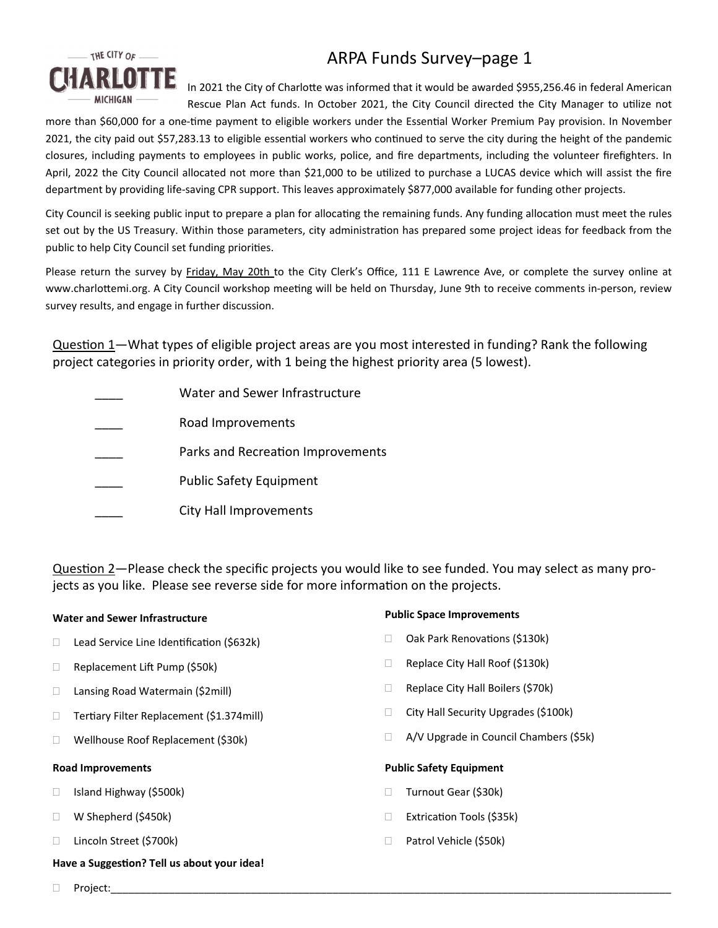

# ARPA Funds Survey–page 1

In 2021 the City of Charlotte was informed that it would be awarded \$955,256.46 in federal American Rescue Plan Act funds. In October 2021, the City Council directed the City Manager to utilize not

more than \$60,000 for a one-time payment to eligible workers under the Essential Worker Premium Pay provision. In November 2021, the city paid out \$57,283.13 to eligible essential workers who continued to serve the city during the height of the pandemic closures, including payments to employees in public works, police, and fire departments, including the volunteer firefighters. In April, 2022 the City Council allocated not more than \$21,000 to be utilized to purchase a LUCAS device which will assist the fire department by providing life‐saving CPR support. This leaves approximately \$877,000 available for funding other projects.

City Council is seeking public input to prepare a plan for allocating the remaining funds. Any funding allocation must meet the rules set out by the US Treasury. Within those parameters, city administration has prepared some project ideas for feedback from the public to help City Council set funding priorities.

Please return the survey by Friday, May 20th to the City Clerk's Office, 111 E Lawrence Ave, or complete the survey online at www.charlottemi.org. A City Council workshop meeting will be held on Thursday, June 9th to receive comments in-person, review survey results, and engage in further discussion.

Question 1—What types of eligible project areas are you most interested in funding? Rank the following project categories in priority order, with 1 being the highest priority area (5 lowest).

Water and Sewer Infrastructure \_\_\_\_ Road Improvements Parks and Recreation Improvements Public Safety Equipment \_\_\_\_ City Hall Improvements

Question 2—Please check the specific projects you would like to see funded. You may select as many projects as you like. Please see reverse side for more information on the projects.

## **Water and Sewer Infrastructure**

- □ Lead Service Line Identification (\$632k)
- Replacement Lift Pump (\$50k)
- □ Lansing Road Watermain (\$2mill)
- □ Tertiary Filter Replacement (\$1.374mill)
- □ Wellhouse Roof Replacement (\$30k)

### **Road Improvements**

- □ Island Highway (\$500k)
- W Shepherd (\$450k)
- □ Lincoln Street (\$700k)

## **Have a SuggesƟon? Tell us about your idea!**

## **Public Space Improvements**

- □ Oak Park Renovations (\$130k)
- Replace City Hall Roof (\$130k)
- □ Replace City Hall Boilers (\$70k)
- □ City Hall Security Upgrades (\$100k)
- A/V Upgrade in Council Chambers (\$5k)

## **Public Safety Equipment**

- □ Turnout Gear (\$30k)
- □ Extrication Tools (\$35k)
- □ Patrol Vehicle (\$50k)
- Project:\_\_\_\_\_\_\_\_\_\_\_\_\_\_\_\_\_\_\_\_\_\_\_\_\_\_\_\_\_\_\_\_\_\_\_\_\_\_\_\_\_\_\_\_\_\_\_\_\_\_\_\_\_\_\_\_\_\_\_\_\_\_\_\_\_\_\_\_\_\_\_\_\_\_\_\_\_\_\_\_\_\_\_\_\_\_\_\_\_\_\_\_\_\_\_\_